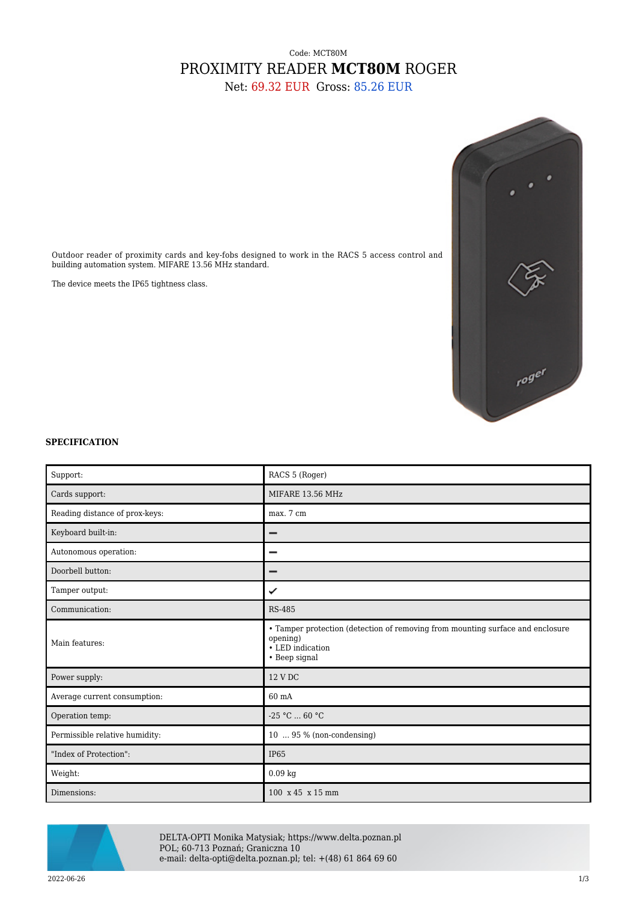## Code: MCT80M PROXIMITY READER **MCT80M** ROGER

Net: 69.32 EUR Gross: 85.26 EUR



Outdoor reader of proximity cards and key-fobs designed to work in the RACS 5 access control and building automation system. MIFARE 13.56 MHz standard.

The device meets the IP65 tightness class.



| Support:                       | RACS 5 (Roger)                                                                                                                  |
|--------------------------------|---------------------------------------------------------------------------------------------------------------------------------|
| Cards support:                 | MIFARE 13.56 MHz                                                                                                                |
| Reading distance of prox-keys: | max. 7 cm                                                                                                                       |
| Keyboard built-in:             | -                                                                                                                               |
| Autonomous operation:          | -                                                                                                                               |
| Doorbell button:               | -                                                                                                                               |
| Tamper output:                 | ✓                                                                                                                               |
| Communication:                 | <b>RS-485</b>                                                                                                                   |
| Main features:                 | • Tamper protection (detection of removing from mounting surface and enclosure<br>opening)<br>• LED indication<br>• Beep signal |
| Power supply:                  | 12 V DC                                                                                                                         |
| Average current consumption:   | 60 mA                                                                                                                           |
| Operation temp:                | $-25$ °C $\dots$ 60 °C                                                                                                          |
| Permissible relative humidity: | 10  95 % (non-condensing)                                                                                                       |
| "Index of Protection":         | <b>IP65</b>                                                                                                                     |
| Weight:                        | $0.09$ kg                                                                                                                       |
| Dimensions:                    | 100 x 45 x 15 mm                                                                                                                |



DELTA-OPTI Monika Matysiak; https://www.delta.poznan.pl POL; 60-713 Poznań; Graniczna 10 e-mail: delta-opti@delta.poznan.pl; tel: +(48) 61 864 69 60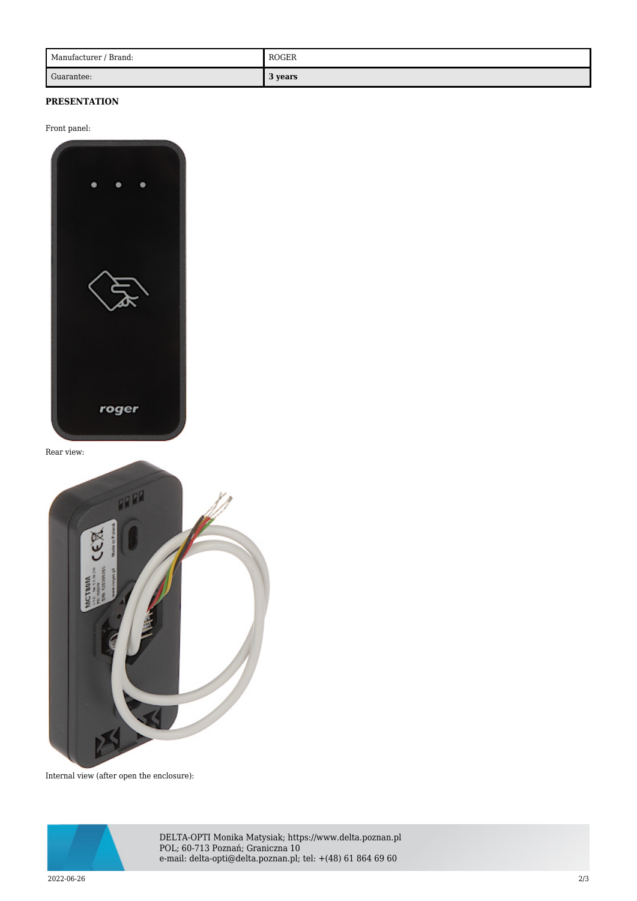| Manufacturer / Brand: | <b>ROGER</b> |
|-----------------------|--------------|
| Guarantee:            | 3 years      |

## **PRESENTATION**

Front panel:



Rear view:



Internal view (after open the enclosure):



DELTA-OPTI Monika Matysiak; https://www.delta.poznan.pl POL; 60-713 Poznań; Graniczna 10 e-mail: delta-opti@delta.poznan.pl; tel: +(48) 61 864 69 60

2022-06-26 2/3